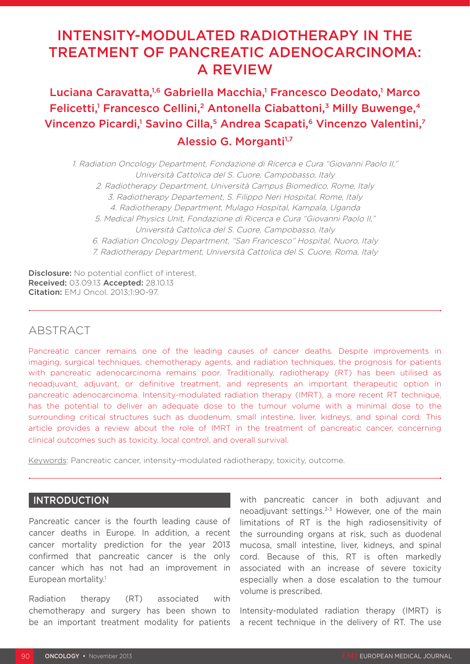# INTENSITY-MODULATED RADIOTHERAPY IN THE TREATMENT OF PANCREATIC ADENOCARCINOMA: A REVIEW

## Luciana Caravatta,<sup>1,6</sup> Gabriella Macchia,<sup>1</sup> Francesco Deodato,<sup>1</sup> Marco Felicetti,<sup>1</sup> Francesco Cellini,<sup>2</sup> Antonella Ciabattoni,<sup>3</sup> Milly Buwenge,<sup>4</sup> Vincenzo Picardi,<sup>1</sup> Savino Cilla,<sup>5</sup> Andrea Scapati,<sup>6</sup> Vincenzo Valentini,<sup>7</sup> Alessio G. Morganti<sup>1,7</sup>

1. Radiation Oncology Department, Fondazione di Ricerca e Cura "Giovanni Paolo II," Università Cattolica del S. Cuore, Campobasso, Italy 2. Radiotherapy Department, Università Campus Biomedico, Rome, Italy 3. Radiotherapy Departement, S. Filippo Neri Hospital, Rome, Italy 4. Radiotherapy Department, Mulago Hospital, Kampala, Uganda 5. Medical Physics Unit, Fondazione di Ricerca e Cura "Giovanni Paolo II," Università Cattolica del S. Cuore, Campobasso, Italy 6. Radiation Oncology Department, "San Francesco" Hospital, Nuoro, Italy 7. Radiotherapy Department, Università Cattolica del S. Cuore, Roma, Italy

Disclosure: No potential conflict of interest. Received: 03.09.13 Accepted: 28.10.13 Citation: EMJ Oncol. 2013;1:90-97.

## **ABSTRACT**

Pancreatic cancer remains one of the leading causes of cancer deaths. Despite improvements in imaging, surgical techniques, chemotherapy agents, and radiation techniques, the prognosis for patients with pancreatic adenocarcinoma remains poor. Traditionally, radiotherapy (RT) has been utilised as neoadjuvant, adjuvant, or definitive treatment, and represents an important therapeutic option in pancreatic adenocarcinoma. Intensity-modulated radiation therapy (IMRT), a more recent RT technique, has the potential to deliver an adequate dose to the tumour volume with a minimal dose to the surrounding critical structures such as duodenum, small intestine, liver, kidneys, and spinal cord. This article provides a review about the role of IMRT in the treatment of pancreatic cancer, concerning clinical outcomes such as toxicity, local control, and overall survival.

Keywords: Pancreatic cancer, intensity-modulated radiotherapy, toxicity, outcome.

## INTRODUCTION

Pancreatic cancer is the fourth leading cause of cancer deaths in Europe. In addition, a recent cancer mortality prediction for the year 2013 confirmed that pancreatic cancer is the only cancer which has not had an improvement in European mortality.<sup>1</sup>

Radiation therapy (RT) associated with chemotherapy and surgery has been shown to be an important treatment modality for patients with pancreatic cancer in both adjuvant and neoadjuvant settings.<sup>2-3</sup> However, one of the main limitations of RT is the high radiosensitivity of the surrounding organs at risk, such as duodenal mucosa, small intestine, liver, kidneys, and spinal cord. Because of this, RT is often markedly associated with an increase of severe toxicity especially when a dose escalation to the tumour volume is prescribed.

Intensity-modulated radiation therapy (IMRT) is a recent technique in the delivery of RT. The use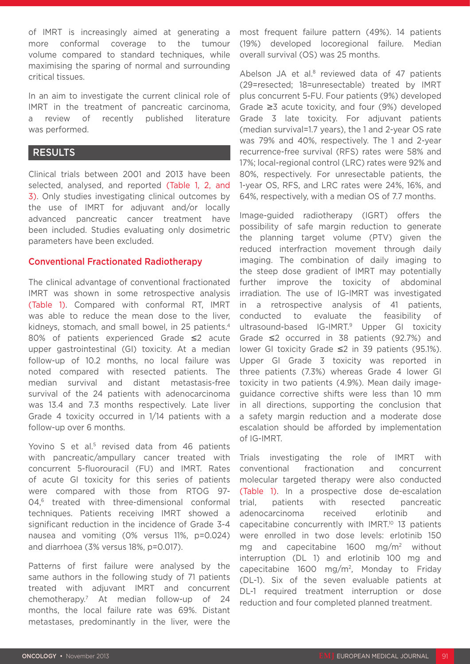of IMRT is increasingly aimed at generating a more conformal coverage to the tumour volume compared to standard techniques, while maximising the sparing of normal and surrounding critical tissues.

In an aim to investigate the current clinical role of IMRT in the treatment of pancreatic carcinoma, a review of recently published literature was performed.

## RESULTS

Clinical trials between 2001 and 2013 have been selected, analysed, and reported (Table 1, 2, and 3). Only studies investigating clinical outcomes by the use of IMRT for adjuvant and/or locally advanced pancreatic cancer treatment have been included. Studies evaluating only dosimetric parameters have been excluded.

#### Conventional Fractionated Radiotherapy

The clinical advantage of conventional fractionated IMRT was shown in some retrospective analysis (Table 1). Compared with conformal RT, IMRT was able to reduce the mean dose to the liver, kidneys, stomach, and small bowel, in 25 patients.4 80% of patients experienced Grade ≤2 acute upper gastrointestinal (GI) toxicity. At a median follow-up of 10.2 months, no local failure was noted compared with resected patients. The median survival and distant metastasis-free survival of the 24 patients with adenocarcinoma was 13.4 and 7.3 months respectively. Late liver Grade 4 toxicity occurred in 1/14 patients with a follow-up over 6 months.

Yovino S et al.<sup>5</sup> revised data from 46 patients with pancreatic/ampullary cancer treated with concurrent 5-fluorouracil (FU) and IMRT. Rates of acute GI toxicity for this series of patients were compared with those from RTOG 97- 04,<sup>6</sup> treated with three-dimensional conformal techniques. Patients receiving IMRT showed a significant reduction in the incidence of Grade 3-4 nausea and vomiting (0% versus 11%, p=0.024) and diarrhoea (3% versus 18%, p=0.017).

Patterns of first failure were analysed by the same authors in the following study of 71 patients treated with adjuvant IMRT and concurrent chemotherapy.7 At median follow-up of 24 months, the local failure rate was 69%. Distant metastases, predominantly in the liver, were the

most frequent failure pattern (49%). 14 patients (19%) developed locoregional failure. Median overall survival (OS) was 25 months.

Abelson JA et al.8 reviewed data of 47 patients (29=resected; 18=unresectable) treated by IMRT plus concurrent 5-FU. Four patients (9%) developed Grade ≥3 acute toxicity, and four (9%) developed Grade 3 late toxicity. For adjuvant patients (median survival=1.7 years), the 1 and 2-year OS rate was 79% and 40%, respectively. The 1 and 2-year recurrence-free survival (RFS) rates were 58% and 17%; local-regional control (LRC) rates were 92% and 80%, respectively. For unresectable patients, the 1-year OS, RFS, and LRC rates were 24%, 16%, and 64%, respectively, with a median OS of 7.7 months.

Image-guided radiotherapy (IGRT) offers the possibility of safe margin reduction to generate the planning target volume (PTV) given the reduced interfraction movement through daily imaging. The combination of daily imaging to the steep dose gradient of IMRT may potentially further improve the toxicity of abdominal irradiation. The use of IG-IMRT was investigated in a retrospective analysis of 41 patients, conducted to evaluate the feasibility of ultrasound-based IG-IMRT.<sup>9</sup> Upper GI toxicity Grade ≤2 occurred in 38 patients (92.7%) and lower GI toxicity Grade ≤2 in 39 patients (95.1%). Upper GI Grade 3 toxicity was reported in three patients (7.3%) whereas Grade 4 lower GI toxicity in two patients (4.9%). Mean daily imageguidance corrective shifts were less than 10 mm in all directions, supporting the conclusion that a safety margin reduction and a moderate dose escalation should be afforded by implementation of IG-IMRT.

Trials investigating the role of IMRT with conventional fractionation and concurrent molecular targeted therapy were also conducted (Table 1). In a prospective dose de-escalation trial, patients with resected pancreatic adenocarcinoma received erlotinib and capecitabine concurrently with IMRT.10 13 patients were enrolled in two dose levels: erlotinib 150 mg and capecitabine 1600 mg/m2 without interruption (DL 1) and erlotinib 100 mg and capecitabine 1600 mg/m2, Monday to Friday (DL-1). Six of the seven evaluable patients at DL-1 required treatment interruption or dose reduction and four completed planned treatment.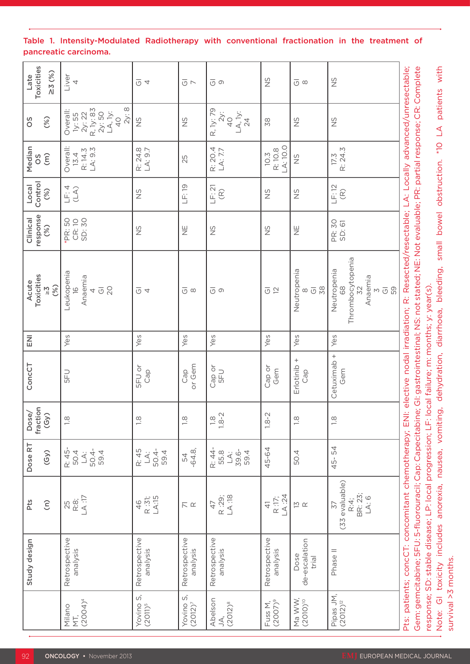| Late<br>Toxicities<br>$\geq 3(%)$                                                     | Liver                                                                            | $\overline{\circ}$ 4                 | $\overline{\circlearrowleft}$ $\,\rightharpoonup$ | $\overline{\circ}$ ග                                                  | $\frac{S}{S}$                                         | $\overline{\circ}$ $\circ$                              | $\frac{\omega}{2}$                                                      |
|---------------------------------------------------------------------------------------|----------------------------------------------------------------------------------|--------------------------------------|---------------------------------------------------|-----------------------------------------------------------------------|-------------------------------------------------------|---------------------------------------------------------|-------------------------------------------------------------------------|
| (%)<br>OS                                                                             | Overall:<br>Ty: 35<br>2y: 22<br>2y: 50<br>2y: 50<br>40<br>40<br>40<br>40<br>2v:8 | $\frac{5}{2}$                        | $\frac{\omega}{2}$                                | R, 1y: 79<br>2y:<br>40<br>LA, 1y:<br>24                               | 82                                                    | $\frac{5}{2}$                                           | $\frac{\omega}{2}$                                                      |
| Median<br>OS<br>$\widehat{E}$                                                         | Overall:<br>13.4<br>R: 14.3<br>LA: 9.3                                           | R: 24.8<br>LA: 9.7                   | 25                                                | R: 20.4<br>LA: 7.7                                                    | $10.3$<br>R: 10.8<br>LA: 10.0                         | S                                                       | $17.3$<br>R: 24.3                                                       |
| $\begin{array}{c} \textsf{Local} \\ \textsf{Control} \\ \textsf{Control} \end{array}$ | $\begin{array}{c} \square \vdash A \\ \square A \end{array}$                     | $\frac{5}{2}$                        | LF: 19                                            | $\begin{array}{c} \square \vdash: \mathsf{21} \\ \square \end{array}$ | SZ                                                    | S<br>N                                                  | $\frac{\mathsf{L}}{\mathsf{L}}\mathsf{L}^2$ (R)                         |
| Clinical<br>response<br>(%)                                                           | *PR: 50<br>CR: 10<br>SD: 30                                                      | $\frac{\mathrm{C}}{\mathrm{C}}$      | $\overline{\Xi}$                                  | S                                                                     | S<br>N                                                | ⊞<br>Z                                                  | PR: 30<br>SD: 61                                                        |
| Acute<br>Toxicities<br>>3<br>(%)                                                      | -eukopenia<br>16<br>Anaemia<br>4<br>Gl<br>20<br>ᆜ                                | $\overline{\circ}$ 4                 | $\overline{\circlearrowleft}$ $\,\varnothing$     | $\overline{\circ}$ $\circ$                                            | $\overline{\circlearrowleft} \stackrel{\sim}{\simeq}$ | Neutropenia<br>8<br>38<br>$\overline{\circlearrowleft}$ | Thrombocytopenia<br>32<br>Neutropenia<br>68<br>Anaemia<br>3<br>Gl<br>59 |
| $\overline{\Xi}$                                                                      | Yes                                                                              | Yes                                  | Yes                                               | Yes                                                                   | Yes                                                   | Yes                                                     | Yes                                                                     |
| ConcCT                                                                                | 5FU                                                                              | <b>SFU or</b><br>Cap                 | Cap<br>or Gem                                     | Cap or<br>5FU                                                         | Cap or<br>Gem                                         | Erlotinib +<br>Cap                                      | Cetuximab +<br>Gem                                                      |
| Dose/<br>fraction<br>(Gy)                                                             | $\frac{1}{2}$                                                                    | $\frac{1}{2}$                        | $\frac{1}{10}$                                    | $1.8 - 2$                                                             | $1.8 - 2$                                             | $\frac{8}{1}$                                           | $\frac{1}{10}$                                                          |
| Dose RT<br>(Sy)                                                                       | R: 45<br>50.4<br>50.4<br>50.4<br>50.4                                            | R: 45<br>LA:<br>504-<br>594          | 54.8,                                             | R: 44<br>55.8<br>59.4<br>59.4                                         | 45-64                                                 | 50.4                                                    | 45-54                                                                   |
| Pts<br>$\widehat{\boldsymbol{\epsilon}}$                                              | 25<br>R:8;<br>LA :17                                                             | $46$<br>R : 31;<br>LA:15             | $\overline{\mathop{\sim}}$ $\alpha$               | 47<br>R :29;<br>LA :18                                                | 41<br>R:17;<br>LA:24                                  | $\frac{M}{2} \propto$                                   | 37<br>(33 evaluable)<br>R:4;<br>BR: 23;<br>LA: 6<br>LA: 6               |
| Study design                                                                          | Retrospective<br>analysis                                                        | Retrospective<br>analysis            | Retrospective                                     | Retrospective                                                         | Retrospective<br>analysis                             | Dose<br>de-escalation<br>trial                          | Phase II                                                                |
|                                                                                       | Milano<br>MT,<br>(2004) <sup>4</sup>                                             | S,<br>Yovino:<br>(2011) <sup>5</sup> | Yovino S,<br>(2012) <sup>7</sup>                  | Abelson<br>JA,<br>(2012) <sup>8</sup>                                 | Fuss M,<br>(2007) <sup>9</sup>                        | Ma WW,<br>(2010) <sup>10</sup>                          | Pipas JM,<br>(2012) <sup>12</sup>                                       |

### Table 1. Intensity-Modulated Radiotherapy with conventional fractionation in the treatment of pancreatic carcinoma.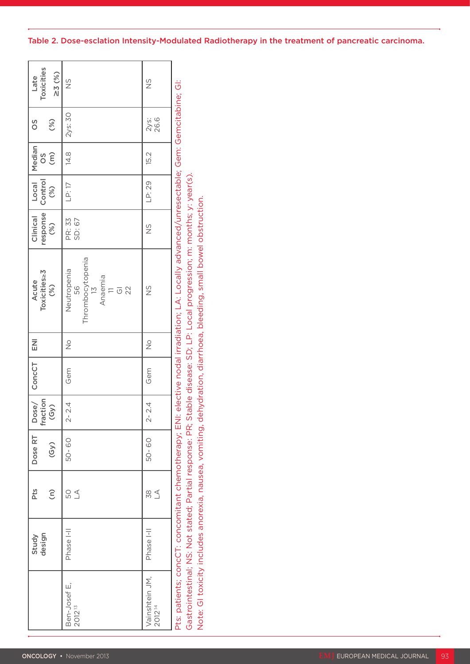|                  | Late<br>Toxicities<br>$\geq 3(%)$ | $\frac{0}{2}$                                                                                                                               | $\frac{\omega}{2}$                   |                                                                                                                                                                                                                                   |
|------------------|-----------------------------------|---------------------------------------------------------------------------------------------------------------------------------------------|--------------------------------------|-----------------------------------------------------------------------------------------------------------------------------------------------------------------------------------------------------------------------------------|
| OS               | (%)                               | $2$ ys: 30                                                                                                                                  | 2ys:<br>26.6                         |                                                                                                                                                                                                                                   |
|                  | Median<br>OS<br>(m)               | 14.8                                                                                                                                        | 15.2                                 |                                                                                                                                                                                                                                   |
|                  | Local<br>Control<br>(%)           | LP: 17                                                                                                                                      | LP: 29                               |                                                                                                                                                                                                                                   |
|                  | Clinical<br>response<br>(%)       | PR: 33<br>SD: 67                                                                                                                            | $\frac{5}{2}$                        |                                                                                                                                                                                                                                   |
|                  | Acute<br>Toxicities≥3<br>(%)      | Thrombocytopenia<br>13<br>Neutropenia<br>56<br>$\begin{array}{c} \mathsf{Anaemia} \\ \mathsf{II} \\ \mathsf{GI} \\ \mathsf{22} \end{array}$ | $\frac{S}{\sqrt{2}}$                 | Pts: patients; concCT: concomitant chemotherapy; ENI: elective nodal irradiation; LA: Locally advanced/unresectable; Gem: Gemcitabine; GI:<br>Gastrointestinal; NS: Not stated; Partial response: PR; Stable disease: SD; LP: Loc |
| $\overline{\Xi}$ |                                   | $\stackrel{\circ}{\geq}$                                                                                                                    | $\stackrel{\circ}{\geq}$             |                                                                                                                                                                                                                                   |
| ConcCT           |                                   | Gem                                                                                                                                         | Gem                                  |                                                                                                                                                                                                                                   |
|                  | Dose/<br>fraction<br>(Gy)         | 2.4<br>$\stackrel{\text{\tiny \textsf{I}}}{\sim}$                                                                                           | 2.4<br>$\overline{\mathcal{C}}$      |                                                                                                                                                                                                                                   |
| Dose RT          | (Gy)                              | 50-60                                                                                                                                       | $\rm ^{\rm o}$<br>50-                |                                                                                                                                                                                                                                   |
| Pts              | $\widehat{\boldsymbol{\epsilon}}$ | $50 \leq$                                                                                                                                   | $\underset{\sim}{\otimes}$ $\leq$    |                                                                                                                                                                                                                                   |
|                  | Study<br>design                   | Phase I-II                                                                                                                                  | E<br>Phase                           |                                                                                                                                                                                                                                   |
|                  |                                   | Ben-Josef E,<br>2012 <sup>13</sup>                                                                                                          | Vainshtein JM,<br>2012 <sup>14</sup> |                                                                                                                                                                                                                                   |

## Table 2. Dose-esclation Intensity-Modulated Radiotherapy in the treatment of pancreatic carcinoma.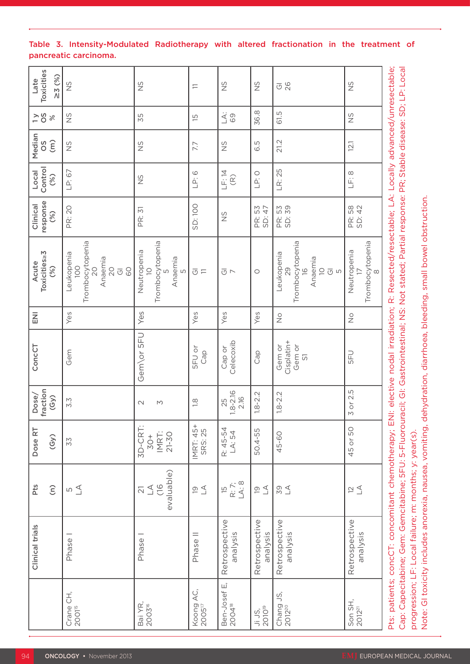|                                    | Clinical trials                                        | Pts<br>$\widehat{\epsilon}$                                 | Dose RT<br>(Gy)                   | fraction<br>Dose/<br>(S <sub>y</sub> ) | ConcCT                                           | $\overline{z}$             | Toxicities <sub>23</sub><br>Acute<br>(%)                                                                                                                                                                                                                                                            | response<br>Clinical<br>(%) | Control<br>Local<br>(%) | Median<br>$\widehat{E}$<br>SO | $\frac{5}{2}$<br>$\frac{6}{5}$ | Toxicities<br>$\geq 3(%)$<br>Late |
|------------------------------------|--------------------------------------------------------|-------------------------------------------------------------|-----------------------------------|----------------------------------------|--------------------------------------------------|----------------------------|-----------------------------------------------------------------------------------------------------------------------------------------------------------------------------------------------------------------------------------------------------------------------------------------------------|-----------------------------|-------------------------|-------------------------------|--------------------------------|-----------------------------------|
| Crane CH,<br>2001 <sup>15</sup>    | Phase <sup>1</sup>                                     | $\overline{\omega} \subsetneq$                              | 52                                | 3.3                                    | Gem                                              | Yes                        | Trombocytopenia<br>Leukopenia<br>Anaemia<br><b>OO1</b><br>$\overline{20}$<br>$\overline{C}$<br>60<br>$\overline{\circ}$                                                                                                                                                                             | PR: 20                      | LP: 67                  | $\frac{5}{2}$                 | $\frac{S}{Z}$                  | SN                                |
| Bai YR,<br>2003 <sup>16</sup>      | Phase <sup>1</sup>                                     | evaluable)<br>$\frac{6}{10}$<br>$\preceq$<br>$\overline{2}$ | 3D-CRT<br>IMRT:<br>21-30<br>$50+$ | $\sim$<br>$\mathsf{M}$                 | Gem\or 5FU                                       | Yes                        | Trombocytopenia<br>Neutropenia<br>Anaemia<br>$\supseteq$<br>LN                                                                                                                                                                                                                                      | PR: 31                      | $\frac{5}{2}$           | $\frac{5}{2}$                 | 55                             | $\frac{5}{2}$                     |
| Koong AC,<br>2005 <sup>17</sup>    | Phase II                                               | $\supseteq$                                                 | IMRT: 45+<br>SRS: 25              | $\frac{8}{1}$                          | <b>SFU or</b><br>Cap                             | Yes                        | $\overline{\circ} =$                                                                                                                                                                                                                                                                                | SD: 100                     | LP:6                    | 7.7                           | $\overline{5}$                 | $\equiv$                          |
| Ben-Josef E,<br>2004 <sup>18</sup> | Retrospective<br>analysis                              | LA: 8<br>$\mathsf{R}$ 7;<br>$\overline{5}$                  | R: 45-54<br>LA: 54                | $.8 - 2.16$<br>2.16<br>25              | Celecoxib<br>Cap or                              | Yes                        | $\overline{\circ}$ $\sim$                                                                                                                                                                                                                                                                           | $\frac{5}{2}$               | LF:14<br>$\widehat{R}$  | $\frac{S}{Z}$                 | $\Delta$ :<br>69               | $\frac{5}{2}$                     |
| 2010 <sup>19</sup><br>Ji JS,       | Retrospective<br>analysis                              | $\overline{\omega}$ $\overline{\Delta}$                     | 50.4-55                           | $1.8 - 2.2$                            | Cap                                              | Yes                        | $\circ$                                                                                                                                                                                                                                                                                             | PR: 53<br>SD: 47            | LP:O                    | 6.5                           | 36.8                           | $\frac{5}{2}$                     |
| Chang JS,<br>2012 <sup>20</sup>    | Retrospective<br>analysis                              | 58                                                          | 45-60                             | $1.8 - 2.2$                            | Cisplatin+<br>Gem or<br>Gem or<br>$\overline{S}$ | $\stackrel{\circ}{\simeq}$ | Trombocytopenia<br>Leukopenia<br>Anaemia<br>$\supseteq$<br>$\frac{1}{2}$<br>29<br>$\overline{\circ}$<br>$\mathsf{L}\Omega$                                                                                                                                                                          | PR: 53<br>SD: 39            | LR: 25                  | 21.2                          | 61.5                           | $\overline{O}$ $\overline{O}$     |
| Son SH,<br>2012 <sup>21</sup>      | Retrospective<br>analysis                              | $\approx$ $\leq$                                            | 45 or 50                          | or 2.5<br>M                            | 5FU                                              | $\frac{\circ}{\mathbb{Z}}$ | Trombocytopenia<br>Neutropenia<br>$\infty$                                                                                                                                                                                                                                                          | PR: 58<br>SD: 42            | LF:8                    | 12.1                          | $\frac{5}{2}$                  | $\frac{5}{2}$                     |
|                                    | progression; LF: Local failure; m: months; y: year(s). |                                                             |                                   |                                        |                                                  |                            | Pts: patients; concCT: concomitant chemotherapy; ENI: elective nodal irradiation; R: Resected/resectable; LA: Locally advanced/unresectable;<br>Cap: Capecitabine; Gem: Gemcitabine; 5FU: 5-Fluorouracil; Gl: Gastrointestinal; NS: Not stated; Partial response: PR; Stable disease: SD; LP: Local |                             |                         |                               |                                |                                   |

#### Table 3. Intensity-Modulated Radiotherapy with altered fractionation in the treatment of pancreatic carcinoma.

Note: GI toxicity includes anorexia, nausea, vomiting, dehydration, diarrhoea, bleeding, small bowel obstruction.

Note: GI toxicity includes anorexia, nausea, vomiting, dehydration, diarrhoea, bleeding, small bowel obstruction.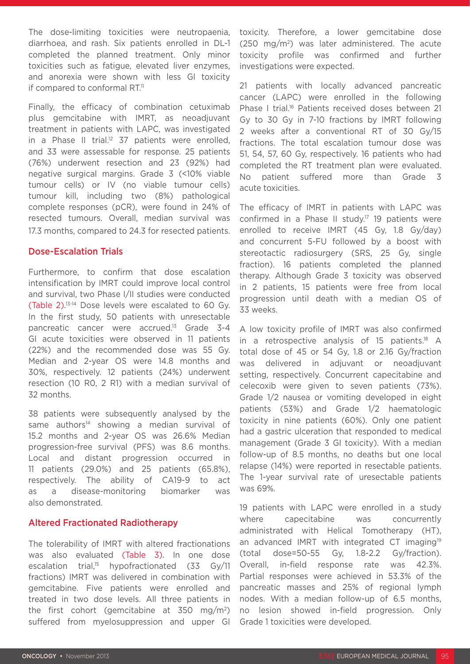The dose-limiting toxicities were neutropaenia, diarrhoea, and rash. Six patients enrolled in DL-1 completed the planned treatment. Only minor toxicities such as fatigue, elevated liver enzymes, and anorexia were shown with less GI toxicity if compared to conformal  $RT<sup>11</sup>$ 

Finally, the efficacy of combination cetuximab plus gemcitabine with IMRT, as neoadjuvant treatment in patients with LAPC, was investigated in a Phase II trial.<sup>12</sup> 37 patients were enrolled, and 33 were assessable for response. 25 patients (76%) underwent resection and 23 (92%) had negative surgical margins. Grade 3 (<10% viable tumour cells) or IV (no viable tumour cells) tumour kill, including two (8%) pathological complete responses (pCR), were found in 24% of resected tumours. Overall, median survival was 17.3 months, compared to 24.3 for resected patients.

#### Dose-Escalation Trials

Furthermore, to confirm that dose escalation intensification by IMRT could improve local control and survival, two Phase I/II studies were conducted (Table 2). 13-14 Dose levels were escalated to 60 Gy. In the first study, 50 patients with unresectable pancreatic cancer were accrued.<sup>13</sup> Grade 3-4 GI acute toxicities were observed in 11 patients (22%) and the recommended dose was 55 Gy. Median and 2-year OS were 14.8 months and 30%, respectively. 12 patients (24%) underwent resection (10 R0, 2 R1) with a median survival of 32 months.

38 patients were subsequently analysed by the same authors<sup>14</sup> showing a median survival of 15.2 months and 2-year OS was 26.6% Median progression-free survival (PFS) was 8.6 months. Local and distant progression occurred in 11 patients (29.0%) and 25 patients (65.8%), respectively. The ability of CA19-9 to act as a disease-monitoring biomarker was also demonstrated.

#### Altered Fractionated Radiotherapy

The tolerability of IMRT with altered fractionations was also evaluated (Table 3). In one dose escalation trial,<sup>15</sup> hypofractionated  $(33 \text{ Gy}/11)$ fractions) IMRT was delivered in combination with gemcitabine. Five patients were enrolled and treated in two dose levels. All three patients in the first cohort (gemcitabine at 350 mg/m2) suffered from myelosuppression and upper GI toxicity. Therefore, a lower gemcitabine dose  $(250 \, \text{mg/m}^2)$  was later administered. The acute toxicity profile was confirmed and further investigations were expected.

21 patients with locally advanced pancreatic cancer (LAPC) were enrolled in the following Phase I trial.<sup>16</sup> Patients received doses between 21 Gy to 30 Gy in 7-10 fractions by IMRT following 2 weeks after a conventional RT of 30 Gy/15 fractions. The total escalation tumour dose was 51, 54, 57, 60 Gy, respectively. 16 patients who had completed the RT treatment plan were evaluated. No patient suffered more than Grade 3 acute toxicities.

The efficacy of IMRT in patients with LAPC was confirmed in a Phase II study.<sup>17</sup> 19 patients were enrolled to receive IMRT (45 Gy, 1.8 Gy/day) and concurrent 5-FU followed by a boost with stereotactic radiosurgery (SRS, 25 Gy, single fraction). 16 patients completed the planned therapy. Although Grade 3 toxicity was observed in 2 patients, 15 patients were free from local progression until death with a median OS of 33 weeks.

A low toxicity profile of IMRT was also confirmed in a retrospective analysis of 15 patients.<sup>18</sup> A total dose of 45 or 54 Gy, 1.8 or 2.16 Gy/fraction was delivered in adjuvant or neoadjuvant setting, respectively. Concurrent capecitabine and celecoxib were given to seven patients (73%). Grade 1/2 nausea or vomiting developed in eight patients (53%) and Grade 1/2 haematologic toxicity in nine patients (60%). Only one patient had a gastric ulceration that responded to medical management (Grade 3 GI toxicity). With a median follow-up of 8.5 months, no deaths but one local relapse (14%) were reported in resectable patients. The 1-year survival rate of uresectable patients was 69%.

19 patients with LAPC were enrolled in a study where capecitabine was concurrently administrated with Helical Tomotherapy (HT), an advanced IMRT with integrated CT imaging<sup>19</sup> (total dose=50-55 Gy, 1.8-2.2 Gy/fraction). Overall, in-field response rate was 42.3%. Partial responses were achieved in 53.3% of the pancreatic masses and 25% of regional lymph nodes. With a median follow-up of 6.5 months, no lesion showed in-field progression. Only Grade 1 toxicities were developed.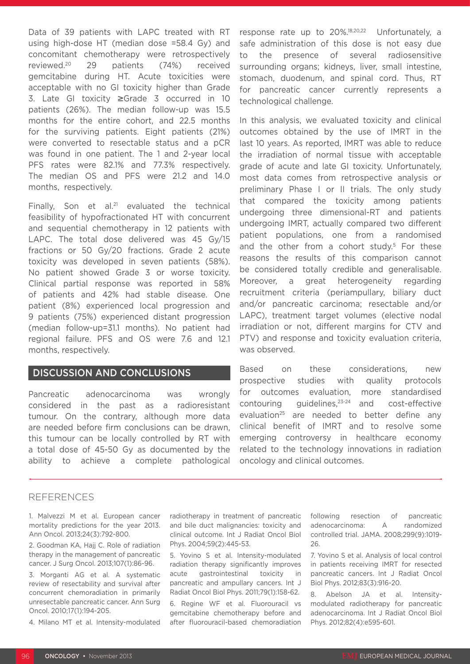Data of 39 patients with LAPC treated with RT using high-dose HT (median dose =58.4 Gy) and concomitant chemotherapy were retrospectively reviewed.20 29 patients (74%) received gemcitabine during HT. Acute toxicities were acceptable with no GI toxicity higher than Grade 3. Late GI toxicity ≥Grade 3 occurred in 10 patients (26%). The median follow-up was 15.5 months for the entire cohort, and 22.5 months for the surviving patients. Eight patients (21%) were converted to resectable status and a pCR was found in one patient. The 1 and 2-year local PFS rates were 82.1% and 77.3% respectively. The median OS and PFS were 21.2 and 14.0 months, respectively.

Finally, Son et al.<sup>21</sup> evaluated the technical feasibility of hypofractionated HT with concurrent and sequential chemotherapy in 12 patients with LAPC. The total dose delivered was 45 Gy/15 fractions or 50 Gy/20 fractions. Grade 2 acute toxicity was developed in seven patients (58%). No patient showed Grade 3 or worse toxicity. Clinical partial response was reported in 58% of patients and 42% had stable disease. One patient (8%) experienced local progression and 9 patients (75%) experienced distant progression (median follow-up=31.1 months). No patient had regional failure. PFS and OS were 7.6 and 12.1 months, respectively.

## DISCUSSION AND CONCLUSIONS

Pancreatic adenocarcinoma was wrongly considered in the past as a radioresistant tumour. On the contrary, although more data are needed before firm conclusions can be drawn, this tumour can be locally controlled by RT with a total dose of 45-50 Gy as documented by the ability to achieve a complete pathological

response rate up to 20%.18,20,22 Unfortunately, a safe administration of this dose is not easy due to the presence of several radiosensitive surrounding organs; kidneys, liver, small intestine, stomach, duodenum, and spinal cord. Thus, RT for pancreatic cancer currently represents a technological challenge.

In this analysis, we evaluated toxicity and clinical outcomes obtained by the use of IMRT in the last 10 years. As reported, IMRT was able to reduce the irradiation of normal tissue with acceptable grade of acute and late GI toxicity. Unfortunately, most data comes from retrospective analysis or preliminary Phase I or II trials. The only study that compared the toxicity among patients undergoing three dimensional-RT and patients undergoing IMRT, actually compared two different patient populations, one from a randomised and the other from a cohort study.<sup>5</sup> For these reasons the results of this comparison cannot be considered totally credible and generalisable. Moreover, a great heterogeneity regarding recruitment criteria (periampullary, biliary duct and/or pancreatic carcinoma; resectable and/or LAPC), treatment target volumes (elective nodal irradiation or not, different margins for CTV and PTV) and response and toxicity evaluation criteria, was observed.

Based on these considerations, new prospective studies with quality protocols for outcomes evaluation, more standardised contouring guidelines,23-24 and cost-effective evaluation<sup>25</sup> are needed to better define any clinical benefit of IMRT and to resolve some emerging controversy in healthcare economy related to the technology innovations in radiation oncology and clinical outcomes.

#### REFERENCES

1. Malvezzi M et al. European cancer mortality predictions for the year 2013. Ann Oncol. 2013;24(3):792-800.

2. Goodman KA, Hajj C. Role of radiation therapy in the management of pancreatic cancer. J Surg Oncol. 2013;107(1):86-96.

3. Morganti AG et al. A systematic review of resectability and survival after concurrent chemoradiation in primarily unresectable pancreatic cancer. Ann Surg Oncol. 2010;17(1):194-205.

4. Milano MT et al. Intensity-modulated

radiotherapy in treatment of pancreatic and bile duct malignancies: toxicity and clinical outcome. Int J Radiat Oncol Biol Phys. 2004;59(2):445-53.

5. Yovino S et al. Intensity-modulated radiation therapy significantly improves acute gastrointestinal toxicity in pancreatic and ampullary cancers. Int J Radiat Oncol Biol Phys. 2011;79(1):158-62.

6. Regine WF et al. Fluorouracil vs gemcitabine chemotherapy before and after fluorouracil-based chemoradiation

following resection of pancreatic adenocarcinoma: A randomized controlled trial. JAMA. 2008;299(9):1019- 26.

7. Yovino S et al. Analysis of local control in patients receiving IMRT for resected pancreatic cancers. Int J Radiat Oncol Biol Phys. 2012;83(3):916-20.

8. Abelson JA et al. Intensitymodulated radiotherapy for pancreatic adenocarcinoma. Int J Radiat Oncol Biol Phys. 2012;82(4):e595-601.